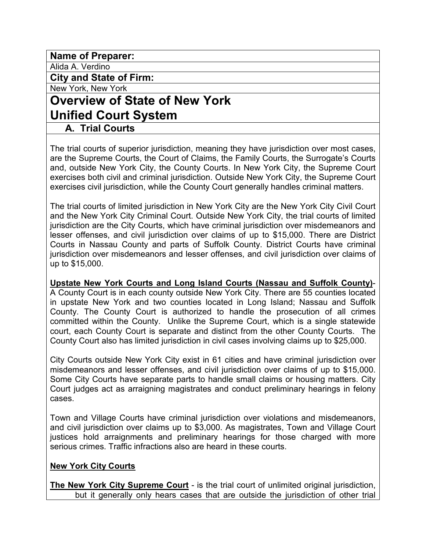**Name of Preparer:** 

Alida A. Verdino

**City and State of Firm:** 

New York, New York

# **Overview of State of New York Unified Court System**

### **A. Trial Courts**

The trial courts of superior jurisdiction, meaning they have jurisdiction over most cases, are the Supreme Courts, the Court of Claims, the Family Courts, the Surrogate's Courts and, outside New York City, the County Courts. In New York City, the Supreme Court exercises both civil and criminal jurisdiction. Outside New York City, the Supreme Court exercises civil jurisdiction, while the County Court generally handles criminal matters.

The trial courts of limited jurisdiction in New York City are the New York City Civil Court and the New York City Criminal Court. Outside New York City, the trial courts of limited jurisdiction are the City Courts, which have criminal jurisdiction over misdemeanors and lesser offenses, and civil jurisdiction over claims of up to \$15,000. There are District Courts in Nassau County and parts of Suffolk County. District Courts have criminal jurisdiction over misdemeanors and lesser offenses, and civil jurisdiction over claims of up to \$15,000.

**Upstate New York Courts and Long Island Courts (Nassau and Suffolk County)**- A County Court is in each county outside New York City. There are 55 counties located in upstate New York and two counties located in Long Island; Nassau and Suffolk County. The County Court is authorized to handle the prosecution of all crimes committed within the County. Unlike the Supreme Court, which is a single statewide court, each County Court is separate and distinct from the other County Courts. The County Court also has limited jurisdiction in civil cases involving claims up to \$25,000.

City Courts outside New York City exist in 61 cities and have criminal jurisdiction over misdemeanors and lesser offenses, and civil jurisdiction over claims of up to \$15,000. Some City Courts have separate parts to handle small claims or housing matters. City Court judges act as arraigning magistrates and conduct preliminary hearings in felony cases.

Town and Village Courts have criminal jurisdiction over violations and misdemeanors, and civil jurisdiction over claims up to \$3,000. As magistrates, Town and Village Court justices hold arraignments and preliminary hearings for those charged with more serious crimes. Traffic infractions also are heard in these courts.

#### **New York City Courts**

**The New York City Supreme Court** - is the trial court of unlimited original jurisdiction, but it generally only hears cases that are outside the jurisdiction of other trial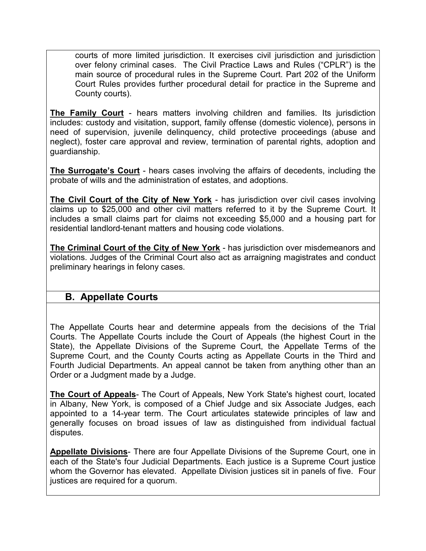courts of more limited jurisdiction. It exercises civil jurisdiction and jurisdiction over felony criminal cases. The Civil Practice Laws and Rules ("CPLR") is the main source of procedural rules in the Supreme Court. Part 202 of the Uniform Court Rules provides further procedural detail for practice in the Supreme and County courts).

**The Family Court** - hears matters involving children and families. Its jurisdiction includes: custody and visitation, support, family offense (domestic violence), persons in need of supervision, juvenile delinquency, child protective proceedings (abuse and neglect), foster care approval and review, termination of parental rights, adoption and guardianship.

**The Surrogate's Court** - hears cases involving the affairs of decedents, including the probate of wills and the administration of estates, and adoptions.

**The Civil Court of the City of New York** - has jurisdiction over civil cases involving claims up to \$25,000 and other civil matters referred to it by the Supreme Court. It includes a small claims part for claims not exceeding \$5,000 and a housing part for residential landlord-tenant matters and housing code violations.

**The Criminal Court of the City of New York** - has jurisdiction over misdemeanors and violations. Judges of the Criminal Court also act as arraigning magistrates and conduct preliminary hearings in felony cases.

## **B. Appellate Courts**

The Appellate Courts hear and determine appeals from the decisions of the Trial Courts. The Appellate Courts include the Court of Appeals (the highest Court in the State), the Appellate Divisions of the Supreme Court, the Appellate Terms of the Supreme Court, and the County Courts acting as Appellate Courts in the Third and Fourth Judicial Departments. An appeal cannot be taken from anything other than an Order or a Judgment made by a Judge.

**The Court of Appeals**- The Court of Appeals, New York State's highest court, located in Albany, New York, is composed of a Chief Judge and six Associate Judges, each appointed to a 14-year term. The Court articulates statewide principles of law and generally focuses on broad issues of law as distinguished from individual factual disputes.

**Appellate Divisions**- There are four Appellate Divisions of the Supreme Court, one in each of the State's four Judicial Departments. Each justice is a Supreme Court justice whom the Governor has elevated. Appellate Division justices sit in panels of five. Four justices are required for a quorum.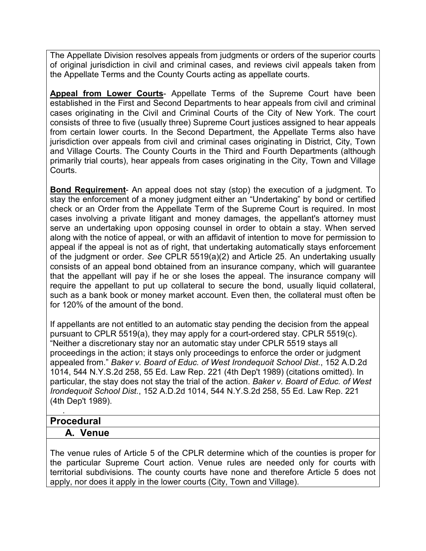The Appellate Division resolves appeals from judgments or orders of the superior courts of original jurisdiction in civil and criminal cases, and reviews civil appeals taken from the Appellate Terms and the County Courts acting as appellate courts.

**Appeal from Lower Courts**- Appellate Terms of the Supreme Court have been established in the First and Second Departments to hear appeals from civil and criminal cases originating in the Civil and Criminal Courts of the City of New York. The court consists of three to five (usually three) Supreme Court justices assigned to hear appeals from certain lower courts. In the Second Department, the Appellate Terms also have jurisdiction over appeals from civil and criminal cases originating in District, City, Town and Village Courts. The County Courts in the Third and Fourth Departments (although primarily trial courts), hear appeals from cases originating in the City, Town and Village Courts.

**Bond Requirement**- An appeal does not stay (stop) the execution of a judgment. To stay the enforcement of a money judgment either an "Undertaking" by bond or certified check or an Order from the Appellate Term of the Supreme Court is required. In most cases involving a private litigant and money damages, the appellant's attorney must serve an undertaking upon opposing counsel in order to obtain a stay. When served along with the notice of appeal, or with an affidavit of intention to move for permission to appeal if the appeal is not as of right, that undertaking automatically stays enforcement of the judgment or order. *See* CPLR 5519(a)(2) and Article 25. An undertaking usually consists of an appeal bond obtained from an insurance company, which will guarantee that the appellant will pay if he or she loses the appeal. The insurance company will require the appellant to put up collateral to secure the bond, usually liquid collateral, such as a bank book or money market account. Even then, the collateral must often be for 120% of the amount of the bond.

If appellants are not entitled to an automatic stay pending the decision from the appeal pursuant to CPLR 5519(a), they may apply for a court-ordered stay. CPLR 5519(c). "Neither a discretionary stay nor an automatic stay under CPLR 5519 stays all proceedings in the action; it stays only proceedings to enforce the order or judgment appealed from." *Baker v. Board of Educ. of West Irondequoit School Dist.*, 152 A.D.2d 1014, 544 N.Y.S.2d 258, 55 Ed. Law Rep. 221 (4th Dep't 1989) (citations omitted). In particular, the stay does not stay the trial of the action. *Baker v. Board of Educ. of West Irondequoit School Dist.*, 152 A.D.2d 1014, 544 N.Y.S.2d 258, 55 Ed. Law Rep. 221 (4th Dep't 1989).

### **Procedural**

.

#### **A. Venue**

The venue rules of Article 5 of the CPLR determine which of the counties is proper for the particular Supreme Court action. Venue rules are needed only for courts with territorial subdivisions. The county courts have none and therefore Article 5 does not apply, nor does it apply in the lower courts (City, Town and Village).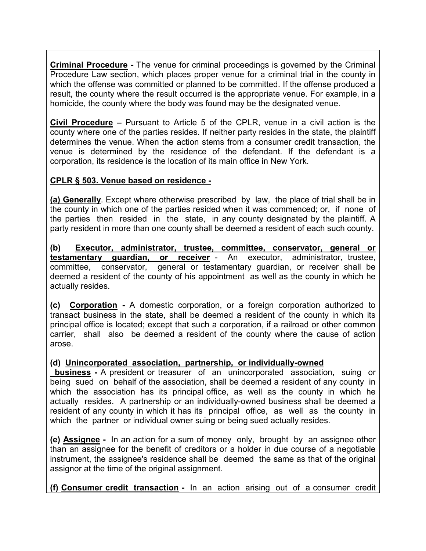**Criminal Procedure -** The venue for criminal proceedings is governed by the Criminal Procedure Law section, which places proper venue for a criminal trial in the county in which the offense was committed or planned to be committed. If the offense produced a result, the county where the result occurred is the appropriate venue. For example, in a homicide, the county where the body was found may be the designated venue.

**Civil Procedure –** Pursuant to Article 5 of the CPLR, venue in a civil action is the county where one of the parties resides. If neither party resides in the state, the plaintiff determines the venue. When the action stems from a consumer credit transaction, the venue is determined by the residence of the defendant. If the defendant is a corporation, its residence is the location of its main office in New York.

### **CPLR § 503. Venue based on residence -**

**(a) Generally**. Except where otherwise prescribed by law, the place of trial shall be in the county in which one of the parties resided when it was commenced; or, if none of the parties then resided in the state, in any county designated by the plaintiff. A party resident in more than one county shall be deemed a resident of each such county.

**(b) Executor, administrator, trustee, committee, conservator, general or testamentary guardian, or receiver** - An executor, administrator, trustee, committee, conservator, general or testamentary guardian, or receiver shall be deemed a resident of the county of his appointment as well as the county in which he actually resides.

**(c) Corporation -** A domestic corporation, or a foreign corporation authorized to transact business in the state, shall be deemed a resident of the county in which its principal office is located; except that such a corporation, if a railroad or other common carrier, shall also be deemed a resident of the county where the cause of action arose.

#### **(d) Unincorporated association, partnership, or individually-owned**

 **business -** A president or treasurer of an unincorporated association, suing or being sued on behalf of the association, shall be deemed a resident of any county in which the association has its principal office, as well as the county in which he actually resides. A partnership or an individually-owned business shall be deemed a resident of any county in which it has its principal office, as well as the county in which the partner or individual owner suing or being sued actually resides.

**(e) Assignee -** In an action for a sum of money only, brought by an assignee other than an assignee for the benefit of creditors or a holder in due course of a negotiable instrument, the assignee's residence shall be deemed the same as that of the original assignor at the time of the original assignment.

**(f) Consumer credit transaction -** In an action arising out of a consumer credit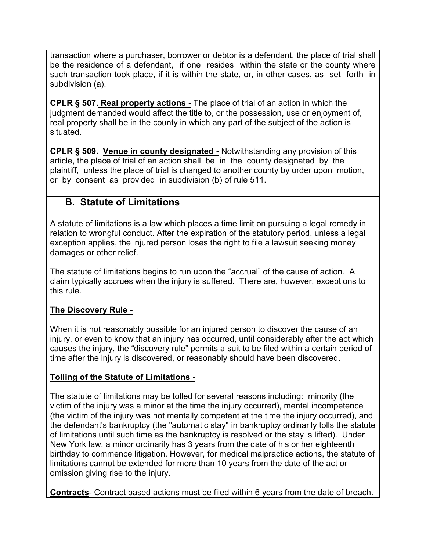transaction where a purchaser, borrower or debtor is a defendant, the place of trial shall be the residence of a defendant, if one resides within the state or the county where such transaction took place, if it is within the state, or, in other cases, as set forth in subdivision (a).

**CPLR § 507. Real property actions -** The place of trial of an action in which the judgment demanded would affect the title to, or the possession, use or enjoyment of, real property shall be in the county in which any part of the subject of the action is situated.

**CPLR § 509. Venue in county designated -** Notwithstanding any provision of this article, the place of trial of an action shall be in the county designated by the plaintiff, unless the place of trial is changed to another county by order upon motion, or by consent as provided in subdivision (b) of rule 511.

## **B. Statute of Limitations**

A statute of limitations is a law which places a time limit on pursuing a legal remedy in relation to wrongful conduct. After the expiration of the statutory period, unless a legal exception applies, the injured person loses the right to file a lawsuit seeking money damages or other relief.

The statute of limitations begins to run upon the "accrual" of the cause of action. A claim typically accrues when the injury is suffered. There are, however, exceptions to this rule.

#### **The Discovery Rule -**

When it is not reasonably possible for an injured person to discover the cause of an injury, or even to know that an injury has occurred, until considerably after the act which causes the injury, the "discovery rule" permits a suit to be filed within a certain period of time after the injury is discovered, or reasonably should have been discovered.

### **Tolling of the Statute of Limitations -**

The statute of limitations may be tolled for several reasons including: minority (the victim of the injury was a minor at the time the injury occurred), mental incompetence (the victim of the injury was not mentally competent at the time the injury occurred), and the defendant's bankruptcy (the "automatic stay" in bankruptcy ordinarily tolls the statute of limitations until such time as the bankruptcy is resolved or the stay is lifted). Under New York law, a minor ordinarily has 3 years from the date of his or her eighteenth birthday to commence litigation. However, for medical malpractice actions, the statute of limitations cannot be extended for more than 10 years from the date of the act or omission giving rise to the injury.

**Contracts**- Contract based actions must be filed within 6 years from the date of breach.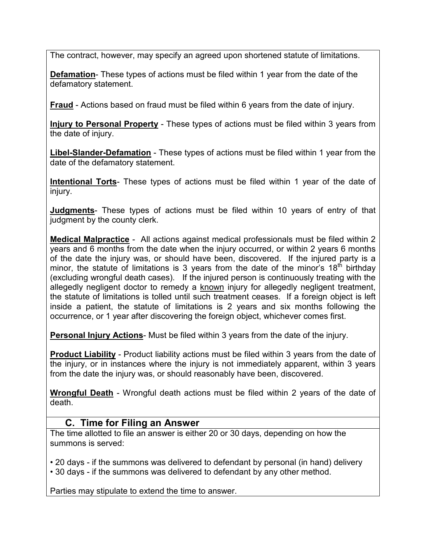The contract, however, may specify an agreed upon shortened statute of limitations.

**Defamation**- These types of actions must be filed within 1 year from the date of the defamatory statement.

**Fraud** - Actions based on fraud must be filed within 6 years from the date of injury.

**Injury to Personal Property** - These types of actions must be filed within 3 years from the date of injury.

**Libel-Slander-Defamation** - These types of actions must be filed within 1 year from the date of the defamatory statement.

**Intentional Torts**- These types of actions must be filed within 1 year of the date of injury.

**Judgments**- These types of actions must be filed within 10 years of entry of that judgment by the county clerk.

**Medical Malpractice** - All actions against medical professionals must be filed within 2 years and 6 months from the date when the injury occurred, or within 2 years 6 months of the date the injury was, or should have been, discovered. If the injured party is a minor, the statute of limitations is 3 years from the date of the minor's  $18<sup>th</sup>$  birthday (excluding wrongful death cases). If the injured person is continuously treating with the allegedly negligent doctor to remedy a known injury for allegedly negligent treatment, the statute of limitations is tolled until such treatment ceases. If a foreign object is left inside a patient, the statute of limitations is 2 years and six months following the occurrence, or 1 year after discovering the foreign object, whichever comes first.

**Personal Injury Actions**- Must be filed within 3 years from the date of the injury.

**Product Liability** - Product liability actions must be filed within 3 years from the date of the injury, or in instances where the injury is not immediately apparent, within 3 years from the date the injury was, or should reasonably have been, discovered.

**Wrongful Death** - Wrongful death actions must be filed within 2 years of the date of death.

### **C. Time for Filing an Answer**

The time allotted to file an answer is either 20 or 30 days, depending on how the summons is served:

• 20 days - if the summons was delivered to defendant by personal (in hand) delivery • 30 days - if the summons was delivered to defendant by any other method.

Parties may stipulate to extend the time to answer.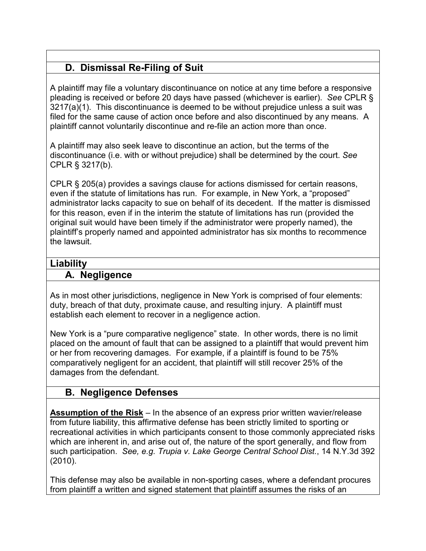## **D. Dismissal Re-Filing of Suit**

A plaintiff may file a voluntary discontinuance on notice at any time before a responsive pleading is received or before 20 days have passed (whichever is earlier). *See* CPLR § 3217(a)(1). This discontinuance is deemed to be without prejudice unless a suit was filed for the same cause of action once before and also discontinued by any means. A plaintiff cannot voluntarily discontinue and re-file an action more than once.

A plaintiff may also seek leave to discontinue an action, but the terms of the discontinuance (i.e. with or without prejudice) shall be determined by the court. *See* CPLR § 3217(b).

CPLR § 205(a) provides a savings clause for actions dismissed for certain reasons, even if the statute of limitations has run. For example, in New York, a "proposed" administrator lacks capacity to sue on behalf of its decedent. If the matter is dismissed for this reason, even if in the interim the statute of limitations has run (provided the original suit would have been timely if the administrator were properly named), the plaintiff's properly named and appointed administrator has six months to recommence the lawsuit.

### **Liability**

### **A. Negligence**

As in most other jurisdictions, negligence in New York is comprised of four elements: duty, breach of that duty, proximate cause, and resulting injury. A plaintiff must establish each element to recover in a negligence action.

New York is a "pure comparative negligence" state. In other words, there is no limit placed on the amount of fault that can be assigned to a plaintiff that would prevent him or her from recovering damages. For example, if a plaintiff is found to be 75% comparatively negligent for an accident, that plaintiff will still recover 25% of the damages from the defendant.

## **B. Negligence Defenses**

**Assumption of the Risk** – In the absence of an express prior written wavier/release from future liability, this affirmative defense has been strictly limited to sporting or recreational activities in which participants consent to those commonly appreciated risks which are inherent in, and arise out of, the nature of the sport generally, and flow from such participation. *See, e.g. Trupia v. Lake George Central School Dist.*, 14 N.Y.3d 392 (2010).

This defense may also be available in non-sporting cases, where a defendant procures from plaintiff a written and signed statement that plaintiff assumes the risks of an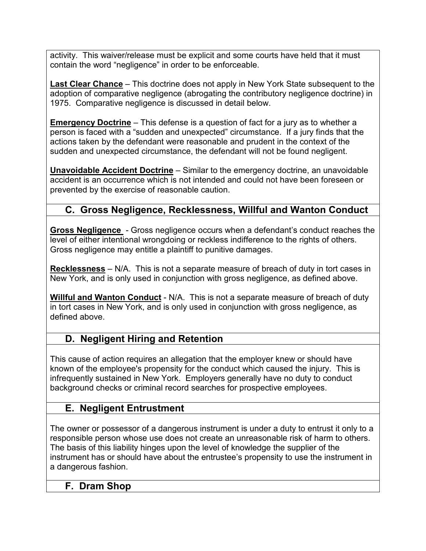activity. This waiver/release must be explicit and some courts have held that it must contain the word "negligence" in order to be enforceable.

**Last Clear Chance** – This doctrine does not apply in New York State subsequent to the adoption of comparative negligence (abrogating the contributory negligence doctrine) in 1975. Comparative negligence is discussed in detail below.

**Emergency Doctrine** – This defense is a question of fact for a jury as to whether a person is faced with a "sudden and unexpected" circumstance. If a jury finds that the actions taken by the defendant were reasonable and prudent in the context of the sudden and unexpected circumstance, the defendant will not be found negligent.

**Unavoidable Accident Doctrine** – Similar to the emergency doctrine, an unavoidable accident is an occurrence which is not intended and could not have been foreseen or prevented by the exercise of reasonable caution.

## **C. Gross Negligence, Recklessness, Willful and Wanton Conduct**

**Gross Negligence** - Gross negligence occurs when a defendant's conduct reaches the level of either intentional wrongdoing or reckless indifference to the rights of others. Gross negligence may entitle a plaintiff to punitive damages.

**Recklessness** – N/A. This is not a separate measure of breach of duty in tort cases in New York, and is only used in conjunction with gross negligence, as defined above.

**Willful and Wanton Conduct** - N/A. This is not a separate measure of breach of duty in tort cases in New York, and is only used in conjunction with gross negligence, as defined above.

## **D. Negligent Hiring and Retention**

This cause of action requires an allegation that the employer knew or should have known of the employee's propensity for the conduct which caused the injury. This is infrequently sustained in New York. Employers generally have no duty to conduct background checks or criminal record searches for prospective employees.

## **E. Negligent Entrustment**

The owner or possessor of a dangerous instrument is under a duty to entrust it only to a responsible person whose use does not create an unreasonable risk of harm to others. The basis of this liability hinges upon the level of knowledge the supplier of the instrument has or should have about the entrustee's propensity to use the instrument in a dangerous fashion.

### **F. Dram Shop**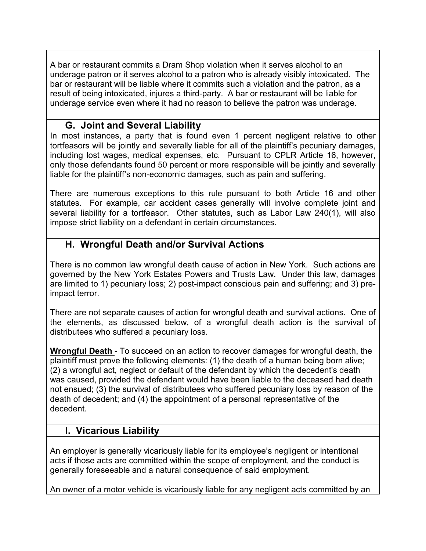A bar or restaurant commits a Dram Shop violation when it serves alcohol to an underage patron or it serves alcohol to a patron who is already visibly intoxicated. The bar or restaurant will be liable where it commits such a violation and the patron, as a result of being intoxicated, injures a third-party. A bar or restaurant will be liable for underage service even where it had no reason to believe the patron was underage.

## **G. Joint and Several Liability**

In most instances, a party that is found even 1 percent negligent relative to other tortfeasors will be jointly and severally liable for all of the plaintiff's pecuniary damages, including lost wages, medical expenses, etc. Pursuant to CPLR Article 16, however, only those defendants found 50 percent or more responsible will be jointly and severally liable for the plaintiff's non-economic damages, such as pain and suffering.

There are numerous exceptions to this rule pursuant to both Article 16 and other statutes. For example, car accident cases generally will involve complete joint and several liability for a tortfeasor. Other statutes, such as Labor Law 240(1), will also impose strict liability on a defendant in certain circumstances.

## **H. Wrongful Death and/or Survival Actions**

There is no common law wrongful death cause of action in New York. Such actions are governed by the New York Estates Powers and Trusts Law. Under this law, damages are limited to 1) pecuniary loss; 2) post-impact conscious pain and suffering; and 3) preimpact terror.

There are not separate causes of action for wrongful death and survival actions. One of the elements, as discussed below, of a wrongful death action is the survival of distributees who suffered a pecuniary loss.

**Wrongful Death** - To succeed on an action to recover damages for wrongful death, the plaintiff must prove the following elements: (1) the death of a human being born alive; (2) a wrongful act, neglect or default of the defendant by which the decedent's death was caused, provided the defendant would have been liable to the deceased had death not ensued; (3) the survival of distributees who suffered pecuniary loss by reason of the death of decedent; and (4) the appointment of a personal representative of the decedent.

## **I. Vicarious Liability**

An employer is generally vicariously liable for its employee's negligent or intentional acts if those acts are committed within the scope of employment, and the conduct is generally foreseeable and a natural consequence of said employment.

An owner of a motor vehicle is vicariously liable for any negligent acts committed by an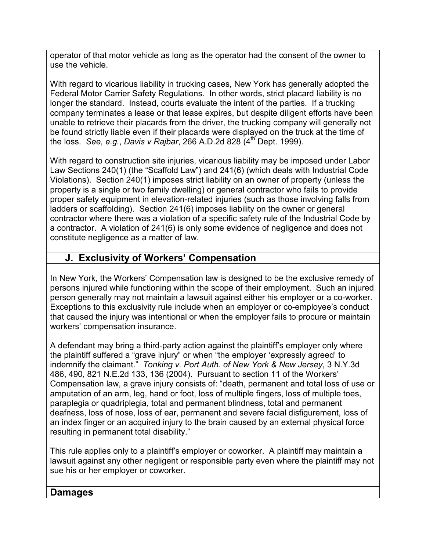operator of that motor vehicle as long as the operator had the consent of the owner to use the vehicle.

With regard to vicarious liability in trucking cases, New York has generally adopted the Federal Motor Carrier Safety Regulations. In other words, strict placard liability is no longer the standard. Instead, courts evaluate the intent of the parties. If a trucking company terminates a lease or that lease expires, but despite diligent efforts have been unable to retrieve their placards from the driver, the trucking company will generally not be found strictly liable even if their placards were displayed on the truck at the time of the loss. *See, e.g.*, *Davis v Rajbar*, 266 A.D.2d 828 (4th Dept. 1999).

With regard to construction site injuries, vicarious liability may be imposed under Labor Law Sections 240(1) (the "Scaffold Law") and 241(6) (which deals with Industrial Code Violations). Section 240(1) imposes strict liability on an owner of property (unless the property is a single or two family dwelling) or general contractor who fails to provide proper safety equipment in elevation-related injuries (such as those involving falls from ladders or scaffolding). Section 241(6) imposes liability on the owner or general contractor where there was a violation of a specific safety rule of the Industrial Code by a contractor. A violation of 241(6) is only some evidence of negligence and does not constitute negligence as a matter of law.

## **J. Exclusivity of Workers' Compensation**

In New York, the Workers' Compensation law is designed to be the exclusive remedy of persons injured while functioning within the scope of their employment. Such an injured person generally may not maintain a lawsuit against either his employer or a co-worker. Exceptions to this exclusivity rule include when an employer or co-employee's conduct that caused the injury was intentional or when the employer fails to procure or maintain workers' compensation insurance.

A defendant may bring a third-party action against the plaintiff's employer only where the plaintiff suffered a "grave injury" or when "the employer 'expressly agreed' to indemnify the claimant." *Tonking v. Port Auth. of New York & New Jersey*, 3 N.Y.3d 486, 490, 821 N.E.2d 133, 136 (2004). Pursuant to section 11 of the Workers' Compensation law, a grave injury consists of: "death, permanent and total loss of use or amputation of an arm, leg, hand or foot, loss of multiple fingers, loss of multiple toes, paraplegia or quadriplegia, total and permanent blindness, total and permanent deafness, loss of nose, loss of ear, permanent and severe facial disfigurement, loss of an index finger or an acquired injury to the brain caused by an external physical force resulting in permanent total disability."

This rule applies only to a plaintiff's employer or coworker. A plaintiff may maintain a lawsuit against any other negligent or responsible party even where the plaintiff may not sue his or her employer or coworker.

## **Damages**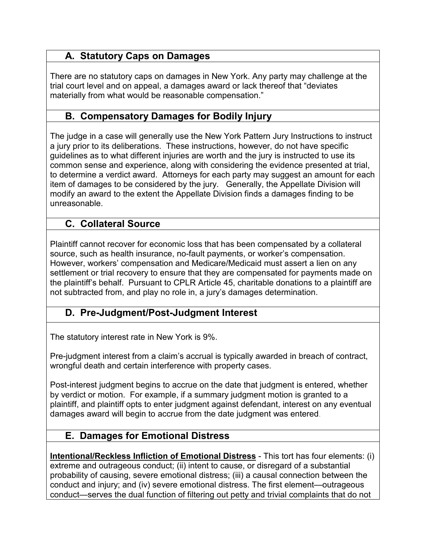## **A. Statutory Caps on Damages**

There are no statutory caps on damages in New York. Any party may challenge at the trial court level and on appeal, a damages award or lack thereof that "deviates materially from what would be reasonable compensation."

## **B. Compensatory Damages for Bodily Injury**

The judge in a case will generally use the New York Pattern Jury Instructions to instruct a jury prior to its deliberations. These instructions, however, do not have specific guidelines as to what different injuries are worth and the jury is instructed to use its common sense and experience, along with considering the evidence presented at trial, to determine a verdict award. Attorneys for each party may suggest an amount for each item of damages to be considered by the jury. Generally, the Appellate Division will modify an award to the extent the Appellate Division finds a damages finding to be unreasonable.

## **C. Collateral Source**

Plaintiff cannot recover for economic loss that has been compensated by a collateral source, such as health insurance, no-fault payments, or worker's compensation. However, workers' compensation and Medicare/Medicaid must assert a lien on any settlement or trial recovery to ensure that they are compensated for payments made on the plaintiff's behalf. Pursuant to CPLR Article 45, charitable donations to a plaintiff are not subtracted from, and play no role in, a jury's damages determination.

## **D. Pre-Judgment/Post-Judgment Interest**

The statutory interest rate in New York is 9%.

Pre-judgment interest from a claim's accrual is typically awarded in breach of contract, wrongful death and certain interference with property cases.

Post-interest judgment begins to accrue on the date that judgment is entered, whether by verdict or motion. For example, if a summary judgment motion is granted to a plaintiff, and plaintiff opts to enter judgment against defendant, interest on any eventual damages award will begin to accrue from the date judgment was entered.

## **E. Damages for Emotional Distress**

**Intentional/Reckless Infliction of Emotional Distress** - This tort has four elements: (i) extreme and outrageous conduct; (ii) intent to cause, or disregard of a substantial probability of causing, severe emotional distress; (iii) a causal connection between the conduct and injury; and (iv) severe emotional distress. The first element—outrageous conduct—serves the dual function of filtering out petty and trivial complaints that do not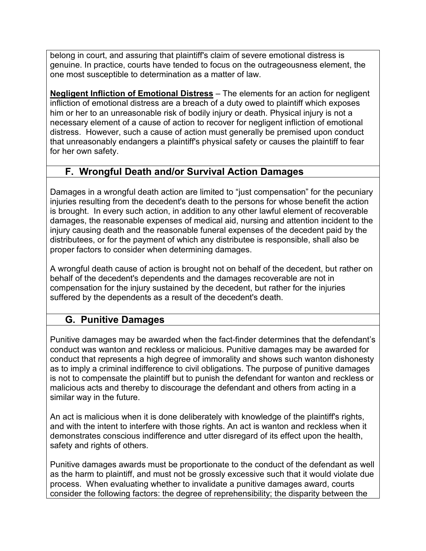belong in court, and assuring that plaintiff's claim of severe emotional distress is genuine. In practice, courts have tended to focus on the outrageousness element, the one most susceptible to determination as a matter of law.

**Negligent Infliction of Emotional Distress** – The elements for an action for negligent infliction of emotional distress are a breach of a duty owed to plaintiff which exposes him or her to an unreasonable risk of bodily injury or death. Physical injury is not a necessary element of a cause of action to recover for negligent infliction of emotional distress. However, such a cause of action must generally be premised upon conduct that unreasonably endangers a plaintiff's physical safety or causes the plaintiff to fear for her own safety.

## **F. Wrongful Death and/or Survival Action Damages**

Damages in a wrongful death action are limited to "just compensation" for the pecuniary injuries resulting from the decedent's death to the persons for whose benefit the action is brought. In every such action, in addition to any other lawful element of recoverable damages, the reasonable expenses of medical aid, nursing and attention incident to the injury causing death and the reasonable funeral expenses of the decedent paid by the distributees, or for the payment of which any distributee is responsible, shall also be proper factors to consider when determining damages.

A wrongful death cause of action is brought not on behalf of the decedent, but rather on behalf of the decedent's dependents and the damages recoverable are not in compensation for the injury sustained by the decedent, but rather for the injuries suffered by the dependents as a result of the decedent's death.

## **G. Punitive Damages**

Punitive damages may be awarded when the fact-finder determines that the defendant's conduct was wanton and reckless or malicious. Punitive damages may be awarded for conduct that represents a high degree of immorality and shows such wanton dishonesty as to imply a criminal indifference to civil obligations. The purpose of punitive damages is not to compensate the plaintiff but to punish the defendant for wanton and reckless or malicious acts and thereby to discourage the defendant and others from acting in a similar way in the future.

An act is malicious when it is done deliberately with knowledge of the plaintiff's rights, and with the intent to interfere with those rights. An act is wanton and reckless when it demonstrates conscious indifference and utter disregard of its effect upon the health, safety and rights of others.

Punitive damages awards must be proportionate to the conduct of the defendant as well as the harm to plaintiff, and must not be grossly excessive such that it would violate due process. When evaluating whether to invalidate a punitive damages award, courts consider the following factors: the degree of reprehensibility; the disparity between the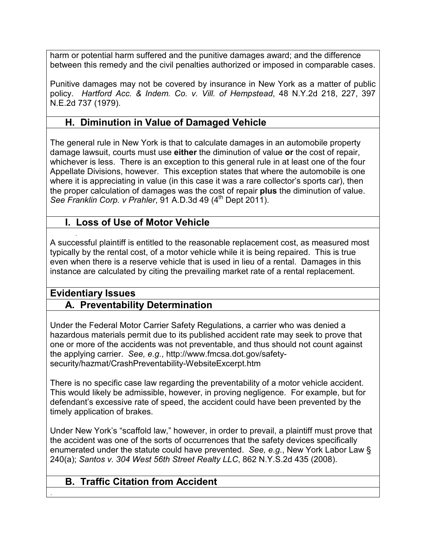harm or potential harm suffered and the punitive damages award; and the difference between this remedy and the civil penalties authorized or imposed in comparable cases.

Punitive damages may not be covered by insurance in New York as a matter of public policy. *Hartford Acc. & Indem. Co. v. Vill. of Hempstead*, 48 N.Y.2d 218, 227, 397 N.E.2d 737 (1979).

## **H. Diminution in Value of Damaged Vehicle**

The general rule in New York is that to calculate damages in an automobile property damage lawsuit, courts must use **either** the diminution of value **or** the cost of repair, whichever is less. There is an exception to this general rule in at least one of the four Appellate Divisions, however. This exception states that where the automobile is one where it is appreciating in value (in this case it was a rare collector's sports car), then the proper calculation of damages was the cost of repair **plus** the diminution of value. *See Franklin Corp. v Prahler*, 91 A.D.3d 49 (4<sup>th</sup> Dept 2011).

## **I. Loss of Use of Motor Vehicle**

. A successful plaintiff is entitled to the reasonable replacement cost, as measured most typically by the rental cost, of a motor vehicle while it is being repaired. This is true even when there is a reserve vehicle that is used in lieu of a rental. Damages in this instance are calculated by citing the prevailing market rate of a rental replacement.

## **Evidentiary Issues**

.

## **A. Preventability Determination**

Under the Federal Motor Carrier Safety Regulations, a carrier who was denied a hazardous materials permit due to its published accident rate may seek to prove that one or more of the accidents was not preventable, and thus should not count against the applying carrier. *See, e.g.*, http://www.fmcsa.dot.gov/safetysecurity/hazmat/CrashPreventability-WebsiteExcerpt.htm

There is no specific case law regarding the preventability of a motor vehicle accident. This would likely be admissible, however, in proving negligence. For example, but for defendant's excessive rate of speed, the accident could have been prevented by the timely application of brakes.

Under New York's "scaffold law," however, in order to prevail, a plaintiff must prove that the accident was one of the sorts of occurrences that the safety devices specifically enumerated under the statute could have prevented. *See, e.g.*, New York Labor Law § 240(a); *Santos v. 304 West 56th Street Realty LLC*, 862 N.Y.S.2d 435 (2008).

## **B. Traffic Citation from Accident**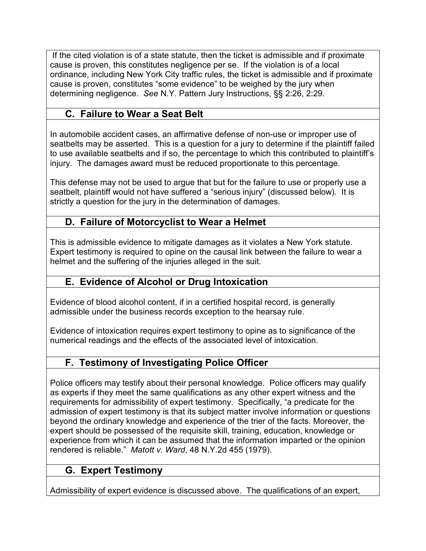If the cited violation is of a state statute, then the ticket is admissible and if proximate cause is proven, this constitutes negligence per se. If the violation is of a local ordinance, including New York City traffic rules, the ticket is admissible and if proximate cause is proven, constitutes "some evidence" to be weighed by the jury when determining negligence. *See* N.Y. Pattern Jury Instructions, §§ 2:26, 2:29.

## **C. Failure to Wear a Seat Belt**

In automobile accident cases, an affirmative defense of non-use or improper use of seatbelts may be asserted. This is a question for a jury to determine if the plaintiff failed to use available seatbelts and if so, the percentage to which this contributed to plaintiff's injury. The damages award must be reduced proportionate to this percentage.

This defense may not be used to argue that but for the failure to use or properly use a seatbelt, plaintiff would not have suffered a "serious injury" (discussed below). It is strictly a question for the jury in the determination of damages.

## **D. Failure of Motorcyclist to Wear a Helmet**

This is admissible evidence to mitigate damages as it violates a New York statute. Expert testimony is required to opine on the causal link between the failure to wear a helmet and the suffering of the injuries alleged in the suit.

## **E. Evidence of Alcohol or Drug Intoxication**

Evidence of blood alcohol content, if in a certified hospital record, is generally admissible under the business records exception to the hearsay rule.

Evidence of intoxication requires expert testimony to opine as to significance of the numerical readings and the effects of the associated level of intoxication.

## **F. Testimony of Investigating Police Officer**

Police officers may testify about their personal knowledge. Police officers may qualify as experts if they meet the same qualifications as any other expert witness and the requirements for admissibility of expert testimony. Specifically, "a predicate for the admission of expert testimony is that its subject matter involve information or questions beyond the ordinary knowledge and experience of the trier of the facts. Moreover, the expert should be possessed of the requisite skill, training, education, knowledge or experience from which it can be assumed that the information imparted or the opinion rendered is reliable." *Matott v. Ward*, 48 N.Y.2d 455 (1979).

## **G. Expert Testimony**

Admissibility of expert evidence is discussed above. The qualifications of an expert,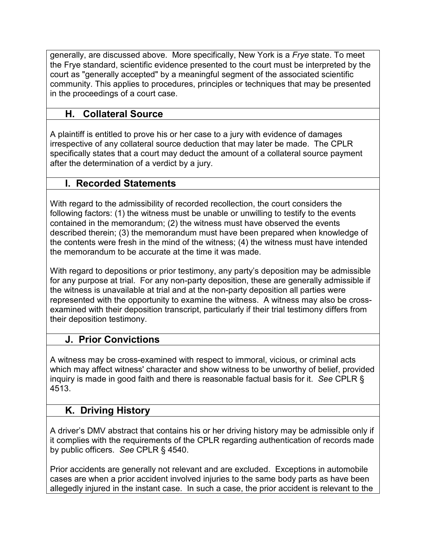generally, are discussed above. More specifically, New York is a *Frye* state. To meet the Frye standard, scientific evidence presented to the court must be interpreted by the court as "generally accepted" by a meaningful segment of the associated scientific community. This applies to procedures, principles or techniques that may be presented in the proceedings of a court case.

## **H. Collateral Source**

A plaintiff is entitled to prove his or her case to a jury with evidence of damages irrespective of any collateral source deduction that may later be made. The CPLR specifically states that a court may deduct the amount of a collateral source payment after the determination of a verdict by a jury.

## **I. Recorded Statements**

With regard to the admissibility of recorded recollection, the court considers the following factors: (1) the witness must be unable or unwilling to testify to the events contained in the memorandum; (2) the witness must have observed the events described therein; (3) the memorandum must have been prepared when knowledge of the contents were fresh in the mind of the witness; (4) the witness must have intended the memorandum to be accurate at the time it was made.

With regard to depositions or prior testimony, any party's deposition may be admissible for any purpose at trial. For any non-party deposition, these are generally admissible if the witness is unavailable at trial and at the non-party deposition all parties were represented with the opportunity to examine the witness. A witness may also be crossexamined with their deposition transcript, particularly if their trial testimony differs from their deposition testimony.

## **J. Prior Convictions**

A witness may be cross-examined with respect to immoral, vicious, or criminal acts which may affect witness' character and show witness to be unworthy of belief, provided inquiry is made in good faith and there is reasonable factual basis for it. *See* CPLR § 4513.

## **K. Driving History**

A driver's DMV abstract that contains his or her driving history may be admissible only if it complies with the requirements of the CPLR regarding authentication of records made by public officers. *See* CPLR § 4540.

Prior accidents are generally not relevant and are excluded. Exceptions in automobile cases are when a prior accident involved injuries to the same body parts as have been allegedly injured in the instant case. In such a case, the prior accident is relevant to the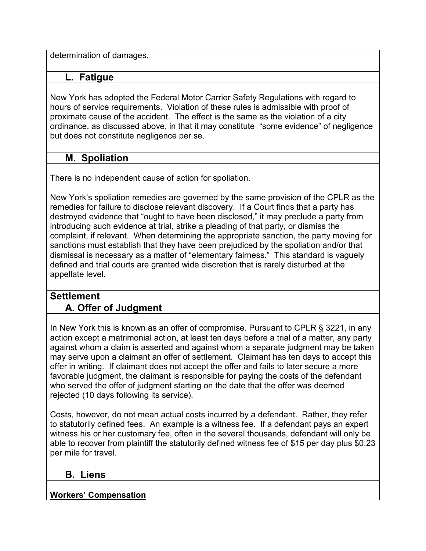determination of damages.

#### **L. Fatigue**

New York has adopted the Federal Motor Carrier Safety Regulations with regard to hours of service requirements. Violation of these rules is admissible with proof of proximate cause of the accident. The effect is the same as the violation of a city ordinance, as discussed above, in that it may constitute "some evidence" of negligence but does not constitute negligence per se.

## **M. Spoliation**

There is no independent cause of action for spoliation.

New York's spoliation remedies are governed by the same provision of the CPLR as the remedies for failure to disclose relevant discovery. If a Court finds that a party has destroyed evidence that "ought to have been disclosed," it may preclude a party from introducing such evidence at trial, strike a pleading of that party, or dismiss the complaint, if relevant. When determining the appropriate sanction, the party moving for sanctions must establish that they have been prejudiced by the spoliation and/or that dismissal is necessary as a matter of "elementary fairness." This standard is vaguely defined and trial courts are granted wide discretion that is rarely disturbed at the appellate level.

## **Settlement**

## **A. Offer of Judgment**

In New York this is known as an offer of compromise. Pursuant to CPLR § 3221, in any action except a matrimonial action, at least ten days before a trial of a matter, any party against whom a claim is asserted and against whom a separate judgment may be taken may serve upon a claimant an offer of settlement. Claimant has ten days to accept this offer in writing. If claimant does not accept the offer and fails to later secure a more favorable judgment, the claimant is responsible for paying the costs of the defendant who served the offer of judgment starting on the date that the offer was deemed rejected (10 days following its service).

Costs, however, do not mean actual costs incurred by a defendant. Rather, they refer to statutorily defined fees. An example is a witness fee. If a defendant pays an expert witness his or her customary fee, often in the several thousands, defendant will only be able to recover from plaintiff the statutorily defined witness fee of \$15 per day plus \$0.23 per mile for travel.

### **B. Liens**

#### **Workers' Compensation**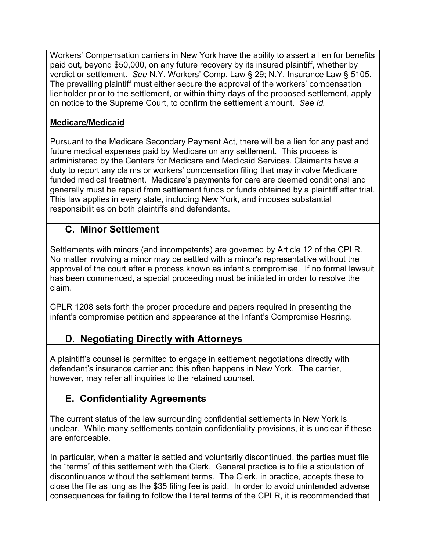Workers' Compensation carriers in New York have the ability to assert a lien for benefits paid out, beyond \$50,000, on any future recovery by its insured plaintiff, whether by verdict or settlement. *See* N.Y. Workers' Comp. Law § 29; N.Y. Insurance Law § 5105. The prevailing plaintiff must either secure the approval of the workers' compensation lienholder prior to the settlement, or within thirty days of the proposed settlement, apply on notice to the Supreme Court, to confirm the settlement amount. *See id.* 

### **Medicare/Medicaid**

Pursuant to the Medicare Secondary Payment Act, there will be a lien for any past and future medical expenses paid by Medicare on any settlement. This process is administered by the Centers for Medicare and Medicaid Services. Claimants have a duty to report any claims or workers' compensation filing that may involve Medicare funded medical treatment. Medicare's payments for care are deemed conditional and generally must be repaid from settlement funds or funds obtained by a plaintiff after trial. This law applies in every state, including New York, and imposes substantial responsibilities on both plaintiffs and defendants.

## **C. Minor Settlement**

Settlements with minors (and incompetents) are governed by Article 12 of the CPLR. No matter involving a minor may be settled with a minor's representative without the approval of the court after a process known as infant's compromise. If no formal lawsuit has been commenced, a special proceeding must be initiated in order to resolve the claim.

CPLR 1208 sets forth the proper procedure and papers required in presenting the infant's compromise petition and appearance at the Infant's Compromise Hearing.

## **D. Negotiating Directly with Attorneys**

A plaintiff's counsel is permitted to engage in settlement negotiations directly with defendant's insurance carrier and this often happens in New York. The carrier, however, may refer all inquiries to the retained counsel.

## **E. Confidentiality Agreements**

The current status of the law surrounding confidential settlements in New York is unclear. While many settlements contain confidentiality provisions, it is unclear if these are enforceable.

In particular, when a matter is settled and voluntarily discontinued, the parties must file the "terms" of this settlement with the Clerk. General practice is to file a stipulation of discontinuance without the settlement terms. The Clerk, in practice, accepts these to close the file as long as the \$35 filing fee is paid. In order to avoid unintended adverse consequences for failing to follow the literal terms of the CPLR, it is recommended that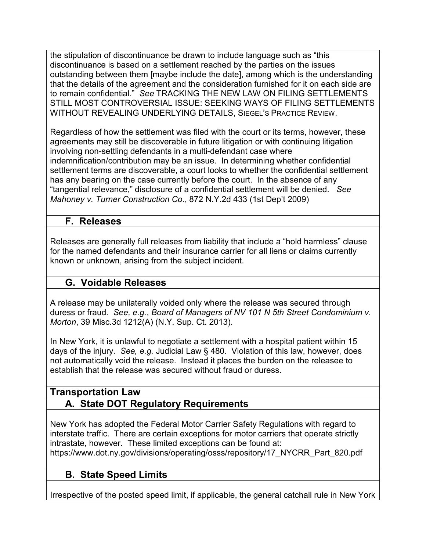the stipulation of discontinuance be drawn to include language such as "this discontinuance is based on a settlement reached by the parties on the issues outstanding between them [maybe include the date], among which is the understanding that the details of the agreement and the consideration furnished for it on each side are to remain confidential." *See* TRACKING THE NEW LAW ON FILING SETTLEMENTS STILL MOST CONTROVERSIAL ISSUE: SEEKING WAYS OF FILING SETTLEMENTS WITHOUT REVEALING UNDERLYING DETAILS, SIEGEL'S PRACTICE REVIEW.

Regardless of how the settlement was filed with the court or its terms, however, these agreements may still be discoverable in future litigation or with continuing litigation involving non-settling defendants in a multi-defendant case where indemnification/contribution may be an issue. In determining whether confidential settlement terms are discoverable, a court looks to whether the confidential settlement has any bearing on the case currently before the court. In the absence of any "tangential relevance," disclosure of a confidential settlement will be denied. *See Mahoney v. Turner Construction Co.*, 872 N.Y.2d 433 (1st Dep't 2009)

## **F. Releases**

Releases are generally full releases from liability that include a "hold harmless" clause for the named defendants and their insurance carrier for all liens or claims currently known or unknown, arising from the subject incident.

## **G. Voidable Releases**

A release may be unilaterally voided only where the release was secured through duress or fraud. *See, e.g.*, *Board of Managers of NV 101 N 5th Street Condominium v. Morton*, 39 Misc.3d 1212(A) (N.Y. Sup. Ct. 2013).

In New York, it is unlawful to negotiate a settlement with a hospital patient within 15 days of the injury. *See, e.g.* Judicial Law § 480. Violation of this law, however, does not automatically void the release. Instead it places the burden on the releasee to establish that the release was secured without fraud or duress.

## **Transportation Law A. State DOT Regulatory Requirements**

New York has adopted the Federal Motor Carrier Safety Regulations with regard to interstate traffic. There are certain exceptions for motor carriers that operate strictly intrastate, however. These limited exceptions can be found at: https://www.dot.ny.gov/divisions/operating/osss/repository/17\_NYCRR\_Part\_820.pdf

## **B. State Speed Limits**

Irrespective of the posted speed limit, if applicable, the general catchall rule in New York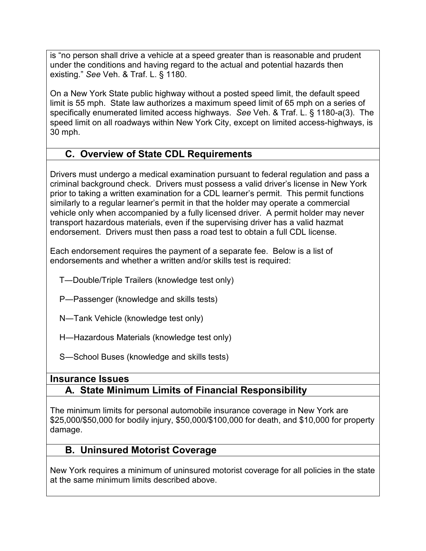is "no person shall drive a vehicle at a speed greater than is reasonable and prudent under the conditions and having regard to the actual and potential hazards then existing." *See* Veh. & Traf. L. § 1180.

On a New York State public highway without a posted speed limit, the default speed limit is 55 mph. State law authorizes a maximum speed limit of 65 mph on a series of specifically enumerated limited access highways. *See* Veh. & Traf. L. § 1180-a(3). The speed limit on all roadways within New York City, except on limited access-highways, is 30 mph.

## **C. Overview of State CDL Requirements**

Drivers must undergo a medical examination pursuant to federal regulation and pass a criminal background check. Drivers must possess a valid driver's license in New York prior to taking a written examination for a CDL learner's permit. This permit functions similarly to a regular learner's permit in that the holder may operate a commercial vehicle only when accompanied by a fully licensed driver. A permit holder may never transport hazardous materials, even if the supervising driver has a valid hazmat endorsement. Drivers must then pass a road test to obtain a full CDL license.

Each endorsement requires the payment of a separate fee. Below is a list of endorsements and whether a written and/or skills test is required:

T―Double/Triple Trailers (knowledge test only)

P―Passenger (knowledge and skills tests)

N―Tank Vehicle (knowledge test only)

H―Hazardous Materials (knowledge test only)

S―School Buses (knowledge and skills tests)

## **Insurance Issues A. State Minimum Limits of Financial Responsibility**

The minimum limits for personal automobile insurance coverage in New York are \$25,000/\$50,000 for bodily injury, \$50,000/\$100,000 for death, and \$10,000 for property damage.

## **B. Uninsured Motorist Coverage**

New York requires a minimum of uninsured motorist coverage for all policies in the state at the same minimum limits described above.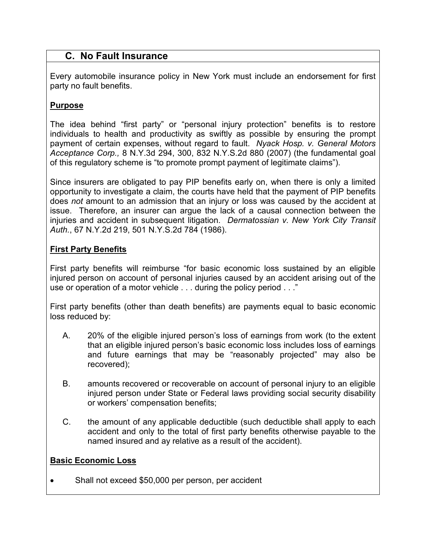### **C. No Fault Insurance**

Every automobile insurance policy in New York must include an endorsement for first party no fault benefits.

#### **Purpose**

The idea behind "first party" or "personal injury protection" benefits is to restore individuals to health and productivity as swiftly as possible by ensuring the prompt payment of certain expenses, without regard to fault. *Nyack Hosp. v. General Motors Acceptance Corp.,* 8 N.Y.3d 294, 300, 832 N.Y.S.2d 880 (2007) (the fundamental goal of this regulatory scheme is "to promote prompt payment of legitimate claims").

Since insurers are obligated to pay PIP benefits early on, when there is only a limited opportunity to investigate a claim, the courts have held that the payment of PIP benefits does *not* amount to an admission that an injury or loss was caused by the accident at issue. Therefore, an insurer can argue the lack of a causal connection between the injuries and accident in subsequent litigation. *Dermatossian v. New York City Transit Auth.*, 67 N.Y.2d 219, 501 N.Y.S.2d 784 (1986).

#### **First Party Benefits**

First party benefits will reimburse "for basic economic loss sustained by an eligible injured person on account of personal injuries caused by an accident arising out of the use or operation of a motor vehicle . . . during the policy period . . ."

First party benefits (other than death benefits) are payments equal to basic economic loss reduced by:

- A. 20% of the eligible injured person's loss of earnings from work (to the extent that an eligible injured person's basic economic loss includes loss of earnings and future earnings that may be "reasonably projected" may also be recovered);
- B. amounts recovered or recoverable on account of personal injury to an eligible injured person under State or Federal laws providing social security disability or workers' compensation benefits;
- C. the amount of any applicable deductible (such deductible shall apply to each accident and only to the total of first party benefits otherwise payable to the named insured and ay relative as a result of the accident).

#### **Basic Economic Loss**

• Shall not exceed \$50,000 per person, per accident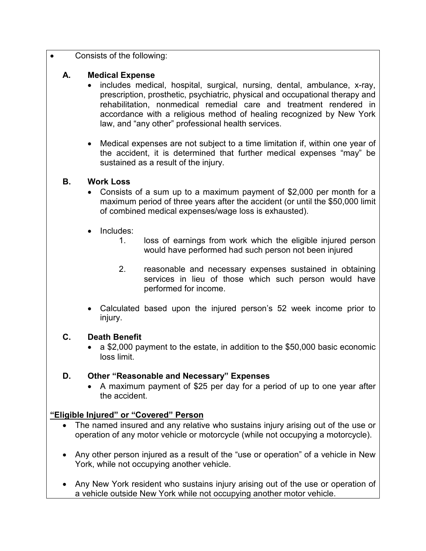• Consists of the following:

#### **A. Medical Expense**

- includes medical, hospital, surgical, nursing, dental, ambulance, x-ray, prescription, prosthetic, psychiatric, physical and occupational therapy and rehabilitation, nonmedical remedial care and treatment rendered in accordance with a religious method of healing recognized by New York law, and "any other" professional health services.
- Medical expenses are not subject to a time limitation if, within one year of the accident, it is determined that further medical expenses "may" be sustained as a result of the injury.

#### **B. Work Loss**

- Consists of a sum up to a maximum payment of \$2,000 per month for a maximum period of three years after the accident (or until the \$50,000 limit of combined medical expenses/wage loss is exhausted).
- Includes:
	- 1. loss of earnings from work which the eligible injured person would have performed had such person not been injured
	- 2. reasonable and necessary expenses sustained in obtaining services in lieu of those which such person would have performed for income.
- Calculated based upon the injured person's 52 week income prior to injury.

### **C. Death Benefit**

• a \$2,000 payment to the estate, in addition to the \$50,000 basic economic loss limit.

### **D. Other "Reasonable and Necessary" Expenses**

• A maximum payment of \$25 per day for a period of up to one year after the accident.

### **"Eligible Injured" or "Covered" Person**

- The named insured and any relative who sustains injury arising out of the use or operation of any motor vehicle or motorcycle (while not occupying a motorcycle).
- Any other person injured as a result of the "use or operation" of a vehicle in New York, while not occupying another vehicle.
- Any New York resident who sustains injury arising out of the use or operation of a vehicle outside New York while not occupying another motor vehicle.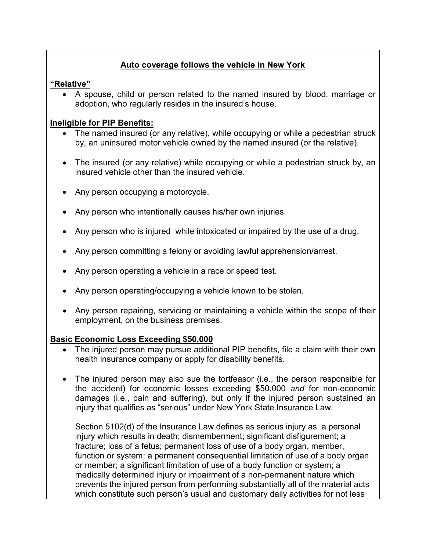### **Auto coverage follows the vehicle in New York**

#### **"Relative"**

• A spouse, child or person related to the named insured by blood, marriage or adoption, who regularly resides in the insured's house.

#### **Ineligible for PIP Benefits:**

- The named insured (or any relative), while occupying or while a pedestrian struck by, an uninsured motor vehicle owned by the named insured (or the relative).
- The insured (or any relative) while occupying or while a pedestrian struck by, an insured vehicle other than the insured vehicle.
- Any person occupying a motorcycle.
- Any person who intentionally causes his/her own injuries.
- Any person who is injured while intoxicated or impaired by the use of a drug.
- Any person committing a felony or avoiding lawful apprehension/arrest.
- Any person operating a vehicle in a race or speed test.
- Any person operating/occupying a vehicle known to be stolen.
- Any person repairing, servicing or maintaining a vehicle within the scope of their employment, on the business premises.

#### **Basic Economic Loss Exceeding \$50,000**

- The injured person may pursue additional PIP benefits, file a claim with their own health insurance company or apply for disability benefits.
- The injured person may also sue the tortfeasor (i.e., the person responsible for the accident) for economic losses exceeding \$50,000 *and* for non-economic damages (i.e., pain and suffering), but only if the injured person sustained an injury that qualifies as "serious" under New York State Insurance Law.

Section 5102(d) of the Insurance Law defines as serious injury as a personal injury which results in death; dismemberment; significant disfigurement; a fracture; loss of a fetus; permanent loss of use of a body organ, member, function or system; a permanent consequential limitation of use of a body organ or member; a significant limitation of use of a body function or system; a medically determined injury or impairment of a non-permanent nature which prevents the injured person from performing substantially all of the material acts which constitute such person's usual and customary daily activities for not less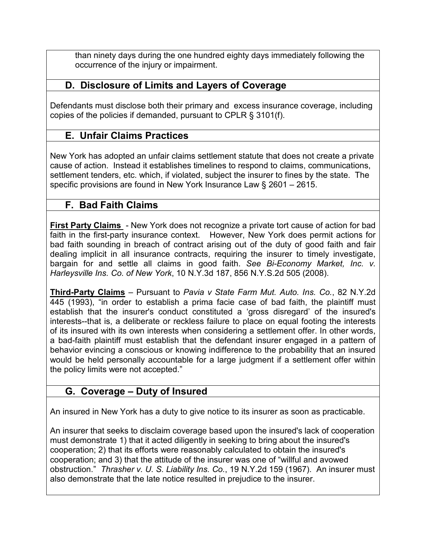than ninety days during the one hundred eighty days immediately following the occurrence of the injury or impairment.

## **D. Disclosure of Limits and Layers of Coverage**

Defendants must disclose both their primary and excess insurance coverage, including copies of the policies if demanded, pursuant to CPLR § 3101(f).

## **E. Unfair Claims Practices**

New York has adopted an unfair claims settlement statute that does not create a private cause of action. Instead it establishes timelines to respond to claims, communications, settlement tenders, etc. which, if violated, subject the insurer to fines by the state. The specific provisions are found in New York Insurance Law § 2601 – 2615.

## **F. Bad Faith Claims**

**First Party Claims** - New York does not recognize a private tort cause of action for bad faith in the first-party insurance context. However, New York does permit actions for bad faith sounding in breach of contract arising out of the duty of good faith and fair dealing implicit in all insurance contracts, requiring the insurer to timely investigate, bargain for and settle all claims in good faith. *See Bi-Economy Market, Inc. v. Harleysville Ins. Co. of New York*, 10 N.Y.3d 187, 856 N.Y.S.2d 505 (2008).

**Third-Party Claims** – Pursuant to *Pavia v State Farm Mut. Auto. Ins. Co.*, 82 N.Y.2d 445 (1993), "in order to establish a prima facie case of bad faith, the plaintiff must establish that the insurer's conduct constituted a 'gross disregard' of the insured's interests--that is, a deliberate or reckless failure to place on equal footing the interests of its insured with its own interests when considering a settlement offer. In other words, a bad-faith plaintiff must establish that the defendant insurer engaged in a pattern of behavior evincing a conscious or knowing indifference to the probability that an insured would be held personally accountable for a large judgment if a settlement offer within the policy limits were not accepted."

## **G. Coverage – Duty of Insured**

An insured in New York has a duty to give notice to its insurer as soon as practicable.

An insurer that seeks to disclaim coverage based upon the insured's lack of cooperation must demonstrate 1) that it acted diligently in seeking to bring about the insured's cooperation; 2) that its efforts were reasonably calculated to obtain the insured's cooperation; and 3) that the attitude of the insurer was one of "willful and avowed obstruction." *Thrasher v. U. S. Liability Ins. Co.*, 19 N.Y.2d 159 (1967). An insurer must also demonstrate that the late notice resulted in prejudice to the insurer.